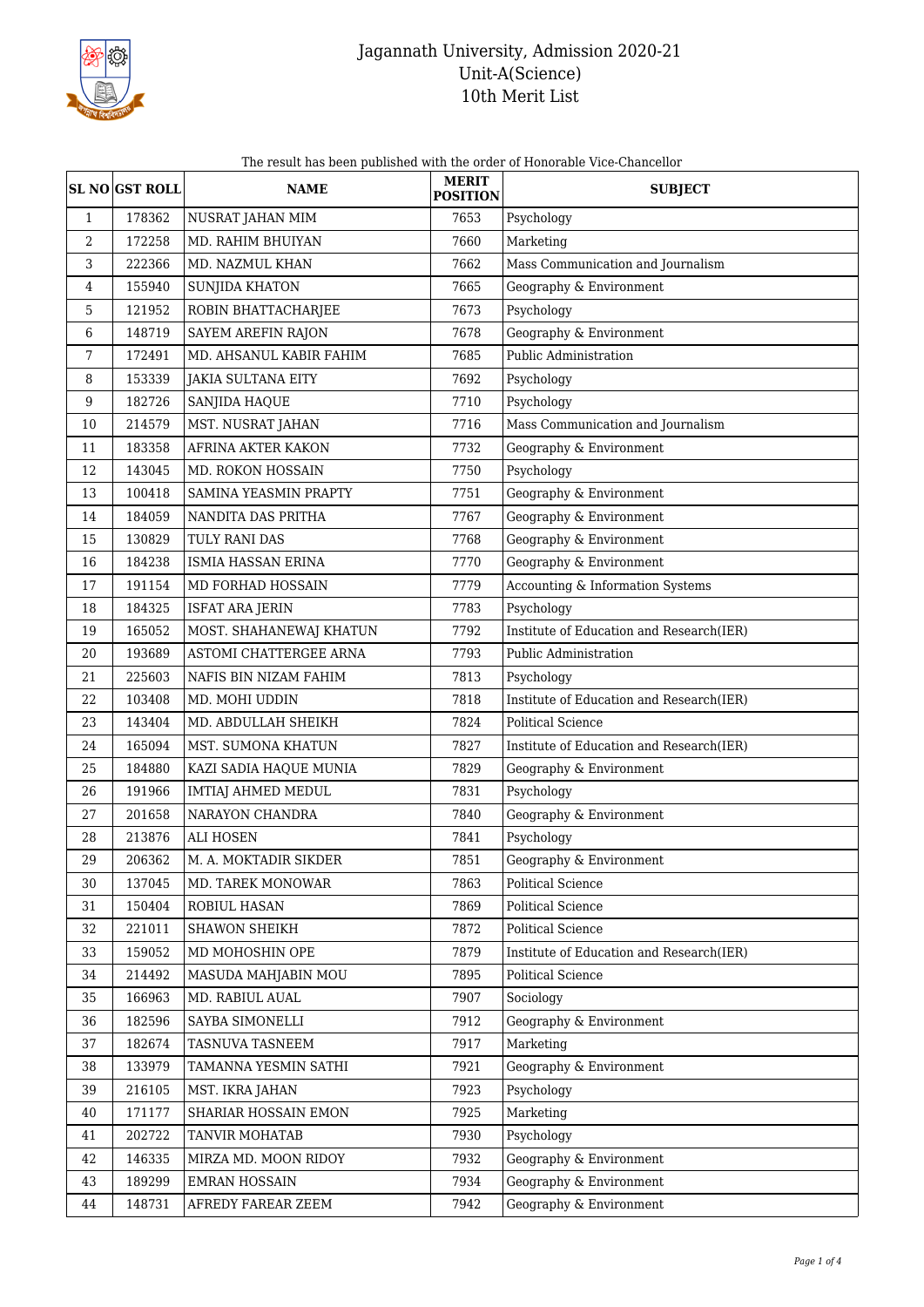

The result has been published with the order of Honorable Vice-Chancellor

|                  | <b>SL NO GST ROLL</b> | <b>NAME</b>               | <b>MERIT</b><br><b>POSITION</b> | <b>SUBJECT</b>                           |
|------------------|-----------------------|---------------------------|---------------------------------|------------------------------------------|
| $\mathbf{1}$     | 178362                | NUSRAT JAHAN MIM          | 7653                            | Psychology                               |
| $\boldsymbol{2}$ | 172258                | MD. RAHIM BHUIYAN         | 7660                            | Marketing                                |
| 3                | 222366                | MD. NAZMUL KHAN           | 7662                            | Mass Communication and Journalism        |
| 4                | 155940                | <b>SUNJIDA KHATON</b>     | 7665                            | Geography & Environment                  |
| 5                | 121952                | ROBIN BHATTACHARJEE       | 7673                            | Psychology                               |
| 6                | 148719                | SAYEM AREFIN RAJON        | 7678                            | Geography & Environment                  |
| 7                | 172491                | MD. AHSANUL KABIR FAHIM   | 7685                            | Public Administration                    |
| 8                | 153339                | <b>JAKIA SULTANA EITY</b> | 7692                            | Psychology                               |
| $9\,$            | 182726                | SANJIDA HAQUE             | 7710                            | Psychology                               |
| 10               | 214579                | MST. NUSRAT JAHAN         | 7716                            | Mass Communication and Journalism        |
| 11               | 183358                | AFRINA AKTER KAKON        | 7732                            | Geography & Environment                  |
| 12               | 143045                | MD. ROKON HOSSAIN         | 7750                            | Psychology                               |
| 13               | 100418                | SAMINA YEASMIN PRAPTY     | 7751                            | Geography & Environment                  |
| 14               | 184059                | NANDITA DAS PRITHA        | 7767                            | Geography & Environment                  |
| 15               | 130829                | TULY RANI DAS             | 7768                            | Geography & Environment                  |
| 16               | 184238                | <b>ISMIA HASSAN ERINA</b> | 7770                            | Geography & Environment                  |
| 17               | 191154                | MD FORHAD HOSSAIN         | 7779                            | Accounting & Information Systems         |
| 18               | 184325                | <b>ISFAT ARA JERIN</b>    | 7783                            | Psychology                               |
| 19               | 165052                | MOST. SHAHANEWAJ KHATUN   | 7792                            | Institute of Education and Research(IER) |
| 20               | 193689                | ASTOMI CHATTERGEE ARNA    | 7793                            | Public Administration                    |
| 21               | 225603                | NAFIS BIN NIZAM FAHIM     | 7813                            | Psychology                               |
| 22               | 103408                | MD. MOHI UDDIN            | 7818                            | Institute of Education and Research(IER) |
| 23               | 143404                | MD. ABDULLAH SHEIKH       | 7824                            | <b>Political Science</b>                 |
| 24               | 165094                | MST. SUMONA KHATUN        | 7827                            | Institute of Education and Research(IER) |
| 25               | 184880                | KAZI SADIA HAQUE MUNIA    | 7829                            | Geography & Environment                  |
| 26               | 191966                | IMTIAJ AHMED MEDUL        | 7831                            | Psychology                               |
| 27               | 201658                | NARAYON CHANDRA           | 7840                            | Geography & Environment                  |
| 28               | 213876                | <b>ALI HOSEN</b>          | 7841                            | Psychology                               |
| 29               | 206362                | M. A. MOKTADIR SIKDER     | 7851                            | Geography & Environment                  |
| 30               | 137045                | MD. TAREK MONOWAR         | 7863                            | Political Science                        |
| 31               | 150404                | ROBIUL HASAN              | 7869                            | Political Science                        |
| 32               | 221011                | SHAWON SHEIKH             | 7872                            | Political Science                        |
| 33               | 159052                | MD MOHOSHIN OPE           | 7879                            | Institute of Education and Research(IER) |
| 34               | 214492                | MASUDA MAHJABIN MOU       | 7895                            | Political Science                        |
| 35               | 166963                | MD. RABIUL AUAL           | 7907                            | Sociology                                |
| 36               | 182596                | SAYBA SIMONELLI           | 7912                            | Geography & Environment                  |
| 37               | 182674                | TASNUVA TASNEEM           | 7917                            | Marketing                                |
| 38               | 133979                | TAMANNA YESMIN SATHI      | 7921                            | Geography & Environment                  |
| 39               | 216105                | MST. IKRA JAHAN           | 7923                            | Psychology                               |
| 40               | 171177                | SHARIAR HOSSAIN EMON      | 7925                            | Marketing                                |
| 41               | 202722                | TANVIR MOHATAB            | 7930                            | Psychology                               |
| 42               | 146335                | MIRZA MD. MOON RIDOY      | 7932                            | Geography & Environment                  |
| 43               | 189299                | <b>EMRAN HOSSAIN</b>      | 7934                            | Geography & Environment                  |
| 44               | 148731                | AFREDY FAREAR ZEEM        | 7942                            | Geography & Environment                  |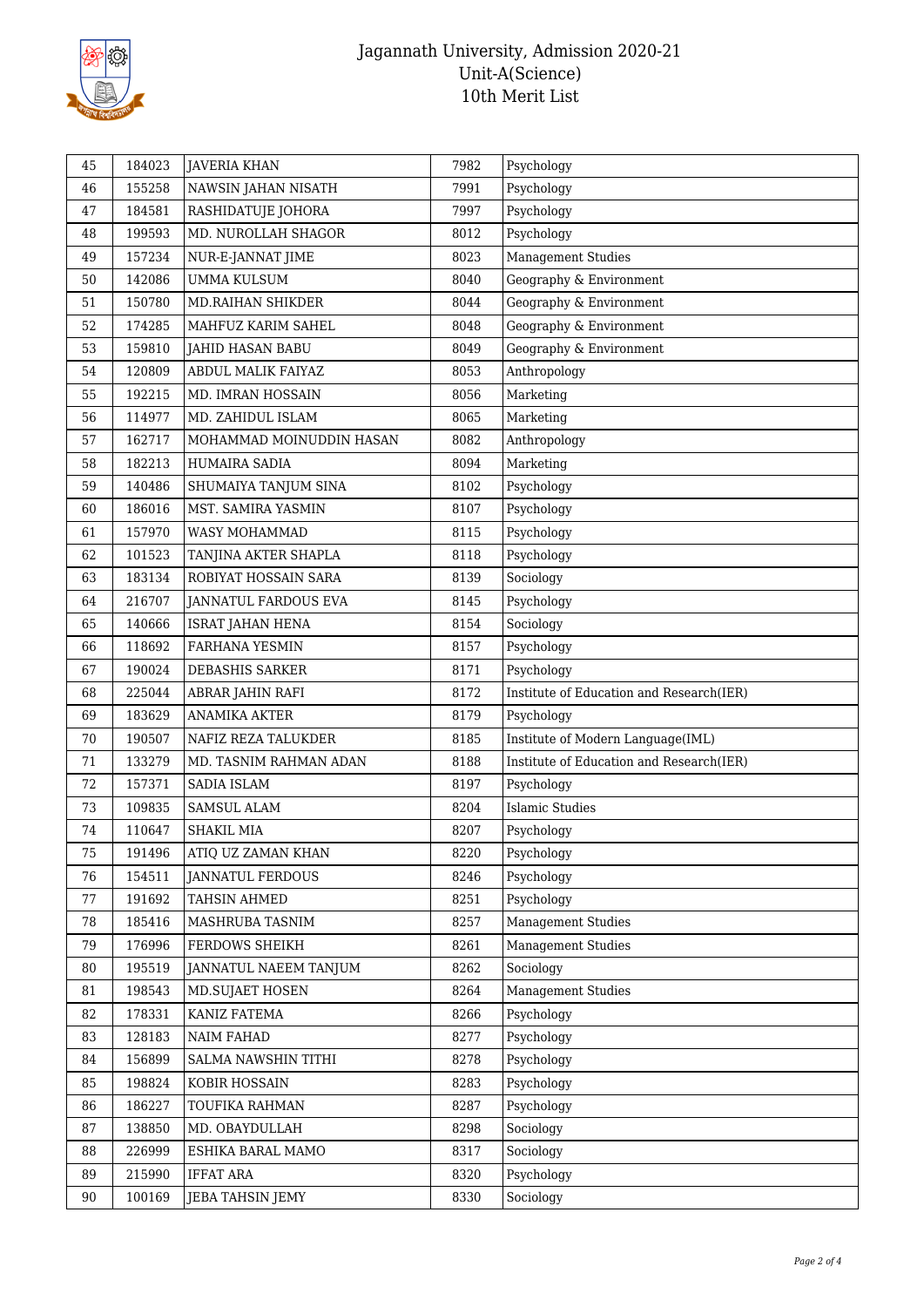

| Psychology<br>46<br>155258<br>NAWSIN JAHAN NISATH<br>7991<br>Psychology<br>184581<br>RASHIDATUJE JOHORA<br>7997<br>47<br>8012<br>Psychology<br>199593<br>MD. NUROLLAH SHAGOR<br>48<br><b>Management Studies</b><br>157234<br>8023<br>49<br>NUR-E-JANNAT JIME<br>Geography & Environment<br>50<br>142086<br><b>UMMA KULSUM</b><br>8040<br>Geography & Environment<br>51<br>150780<br><b>MD.RAIHAN SHIKDER</b><br>8044<br>8048<br>Geography & Environment<br>52<br>174285<br>MAHFUZ KARIM SAHEL<br>Geography & Environment<br>53<br>159810<br><b>JAHID HASAN BABU</b><br>8049<br>120809<br>8053<br>Anthropology<br>54<br>ABDUL MALIK FAIYAZ<br>192215<br>Marketing<br>55<br>MD. IMRAN HOSSAIN<br>8056<br>114977<br>8065<br>Marketing<br>MD. ZAHIDUL ISLAM<br>56<br>Anthropology<br>57<br>162717<br>8082<br>MOHAMMAD MOINUDDIN HASAN |
|-----------------------------------------------------------------------------------------------------------------------------------------------------------------------------------------------------------------------------------------------------------------------------------------------------------------------------------------------------------------------------------------------------------------------------------------------------------------------------------------------------------------------------------------------------------------------------------------------------------------------------------------------------------------------------------------------------------------------------------------------------------------------------------------------------------------------------------|
|                                                                                                                                                                                                                                                                                                                                                                                                                                                                                                                                                                                                                                                                                                                                                                                                                                   |
|                                                                                                                                                                                                                                                                                                                                                                                                                                                                                                                                                                                                                                                                                                                                                                                                                                   |
|                                                                                                                                                                                                                                                                                                                                                                                                                                                                                                                                                                                                                                                                                                                                                                                                                                   |
|                                                                                                                                                                                                                                                                                                                                                                                                                                                                                                                                                                                                                                                                                                                                                                                                                                   |
|                                                                                                                                                                                                                                                                                                                                                                                                                                                                                                                                                                                                                                                                                                                                                                                                                                   |
|                                                                                                                                                                                                                                                                                                                                                                                                                                                                                                                                                                                                                                                                                                                                                                                                                                   |
|                                                                                                                                                                                                                                                                                                                                                                                                                                                                                                                                                                                                                                                                                                                                                                                                                                   |
|                                                                                                                                                                                                                                                                                                                                                                                                                                                                                                                                                                                                                                                                                                                                                                                                                                   |
|                                                                                                                                                                                                                                                                                                                                                                                                                                                                                                                                                                                                                                                                                                                                                                                                                                   |
|                                                                                                                                                                                                                                                                                                                                                                                                                                                                                                                                                                                                                                                                                                                                                                                                                                   |
|                                                                                                                                                                                                                                                                                                                                                                                                                                                                                                                                                                                                                                                                                                                                                                                                                                   |
|                                                                                                                                                                                                                                                                                                                                                                                                                                                                                                                                                                                                                                                                                                                                                                                                                                   |
| Marketing<br>182213<br>HUMAIRA SADIA<br>8094<br>58                                                                                                                                                                                                                                                                                                                                                                                                                                                                                                                                                                                                                                                                                                                                                                                |
| Psychology<br>59<br>140486<br>SHUMAIYA TANJUM SINA<br>8102                                                                                                                                                                                                                                                                                                                                                                                                                                                                                                                                                                                                                                                                                                                                                                        |
| Psychology<br>60<br>186016<br>MST. SAMIRA YASMIN<br>8107                                                                                                                                                                                                                                                                                                                                                                                                                                                                                                                                                                                                                                                                                                                                                                          |
| 61<br>157970<br>8115<br>Psychology<br>WASY MOHAMMAD                                                                                                                                                                                                                                                                                                                                                                                                                                                                                                                                                                                                                                                                                                                                                                               |
| 101523<br>8118<br>Psychology<br>62<br>TANJINA AKTER SHAPLA                                                                                                                                                                                                                                                                                                                                                                                                                                                                                                                                                                                                                                                                                                                                                                        |
| Sociology<br>63<br>183134<br>ROBIYAT HOSSAIN SARA<br>8139                                                                                                                                                                                                                                                                                                                                                                                                                                                                                                                                                                                                                                                                                                                                                                         |
| 216707<br>Psychology<br>64<br><b>JANNATUL FARDOUS EVA</b><br>8145                                                                                                                                                                                                                                                                                                                                                                                                                                                                                                                                                                                                                                                                                                                                                                 |
| 140666<br>8154<br>Sociology<br>65<br><b>ISRAT JAHAN HENA</b>                                                                                                                                                                                                                                                                                                                                                                                                                                                                                                                                                                                                                                                                                                                                                                      |
| Psychology<br>66<br>118692<br>FARHANA YESMIN<br>8157                                                                                                                                                                                                                                                                                                                                                                                                                                                                                                                                                                                                                                                                                                                                                                              |
| 190024<br>Psychology<br>67<br>DEBASHIS SARKER<br>8171                                                                                                                                                                                                                                                                                                                                                                                                                                                                                                                                                                                                                                                                                                                                                                             |
| 225044<br>68<br>ABRAR JAHIN RAFI<br>8172<br>Institute of Education and Research(IER)                                                                                                                                                                                                                                                                                                                                                                                                                                                                                                                                                                                                                                                                                                                                              |
| 183629<br><b>ANAMIKA AKTER</b><br>Psychology<br>8179<br>69                                                                                                                                                                                                                                                                                                                                                                                                                                                                                                                                                                                                                                                                                                                                                                        |
| Institute of Modern Language(IML)<br>70<br>190507<br>NAFIZ REZA TALUKDER<br>8185                                                                                                                                                                                                                                                                                                                                                                                                                                                                                                                                                                                                                                                                                                                                                  |
| Institute of Education and Research(IER)<br>133279<br>71<br>MD. TASNIM RAHMAN ADAN<br>8188                                                                                                                                                                                                                                                                                                                                                                                                                                                                                                                                                                                                                                                                                                                                        |
| 72<br>157371<br>SADIA ISLAM<br>8197<br>Psychology                                                                                                                                                                                                                                                                                                                                                                                                                                                                                                                                                                                                                                                                                                                                                                                 |
| <b>Islamic Studies</b><br>109835<br>73<br>SAMSUL ALAM<br>8204                                                                                                                                                                                                                                                                                                                                                                                                                                                                                                                                                                                                                                                                                                                                                                     |
| 74<br>110647<br>8207<br>Psychology<br>SHAKIL MIA                                                                                                                                                                                                                                                                                                                                                                                                                                                                                                                                                                                                                                                                                                                                                                                  |
| 75<br>191496<br>ATIQ UZ ZAMAN KHAN<br>8220<br>Psychology                                                                                                                                                                                                                                                                                                                                                                                                                                                                                                                                                                                                                                                                                                                                                                          |
| 154511<br>76<br><b>JANNATUL FERDOUS</b><br>8246<br>Psychology                                                                                                                                                                                                                                                                                                                                                                                                                                                                                                                                                                                                                                                                                                                                                                     |
| $77\,$<br>191692<br>TAHSIN AHMED<br>8251<br>Psychology                                                                                                                                                                                                                                                                                                                                                                                                                                                                                                                                                                                                                                                                                                                                                                            |
| <b>Management Studies</b><br>78<br>MASHRUBA TASNIM<br>8257<br>185416                                                                                                                                                                                                                                                                                                                                                                                                                                                                                                                                                                                                                                                                                                                                                              |
| 176996<br>FERDOWS SHEIKH<br><b>Management Studies</b><br>79<br>8261                                                                                                                                                                                                                                                                                                                                                                                                                                                                                                                                                                                                                                                                                                                                                               |
| 80<br>195519<br>JANNATUL NAEEM TANJUM<br>8262<br>Sociology                                                                                                                                                                                                                                                                                                                                                                                                                                                                                                                                                                                                                                                                                                                                                                        |
| <b>Management Studies</b><br>198543<br>MD.SUJAET HOSEN<br>8264<br>81                                                                                                                                                                                                                                                                                                                                                                                                                                                                                                                                                                                                                                                                                                                                                              |
| 178331<br>KANIZ FATEMA<br>8266<br>Psychology<br>82                                                                                                                                                                                                                                                                                                                                                                                                                                                                                                                                                                                                                                                                                                                                                                                |
| 128183<br>NAIM FAHAD<br>83<br>8277<br>Psychology                                                                                                                                                                                                                                                                                                                                                                                                                                                                                                                                                                                                                                                                                                                                                                                  |
| 156899<br>8278<br>Psychology<br>84<br>SALMA NAWSHIN TITHI                                                                                                                                                                                                                                                                                                                                                                                                                                                                                                                                                                                                                                                                                                                                                                         |
| 198824<br>KOBIR HOSSAIN<br>85<br>8283<br>Psychology                                                                                                                                                                                                                                                                                                                                                                                                                                                                                                                                                                                                                                                                                                                                                                               |
| 186227<br>TOUFIKA RAHMAN<br>8287<br>Psychology<br>86                                                                                                                                                                                                                                                                                                                                                                                                                                                                                                                                                                                                                                                                                                                                                                              |
| 87<br>138850<br>MD. OBAYDULLAH<br>8298<br>Sociology                                                                                                                                                                                                                                                                                                                                                                                                                                                                                                                                                                                                                                                                                                                                                                               |
| 226999<br>ESHIKA BARAL MAMO<br>8317<br>Sociology<br>88                                                                                                                                                                                                                                                                                                                                                                                                                                                                                                                                                                                                                                                                                                                                                                            |
| <b>IFFAT ARA</b><br>215990<br>8320<br>Psychology<br>89                                                                                                                                                                                                                                                                                                                                                                                                                                                                                                                                                                                                                                                                                                                                                                            |
| 100169<br>JEBA TAHSIN JEMY<br>8330<br>Sociology<br>90                                                                                                                                                                                                                                                                                                                                                                                                                                                                                                                                                                                                                                                                                                                                                                             |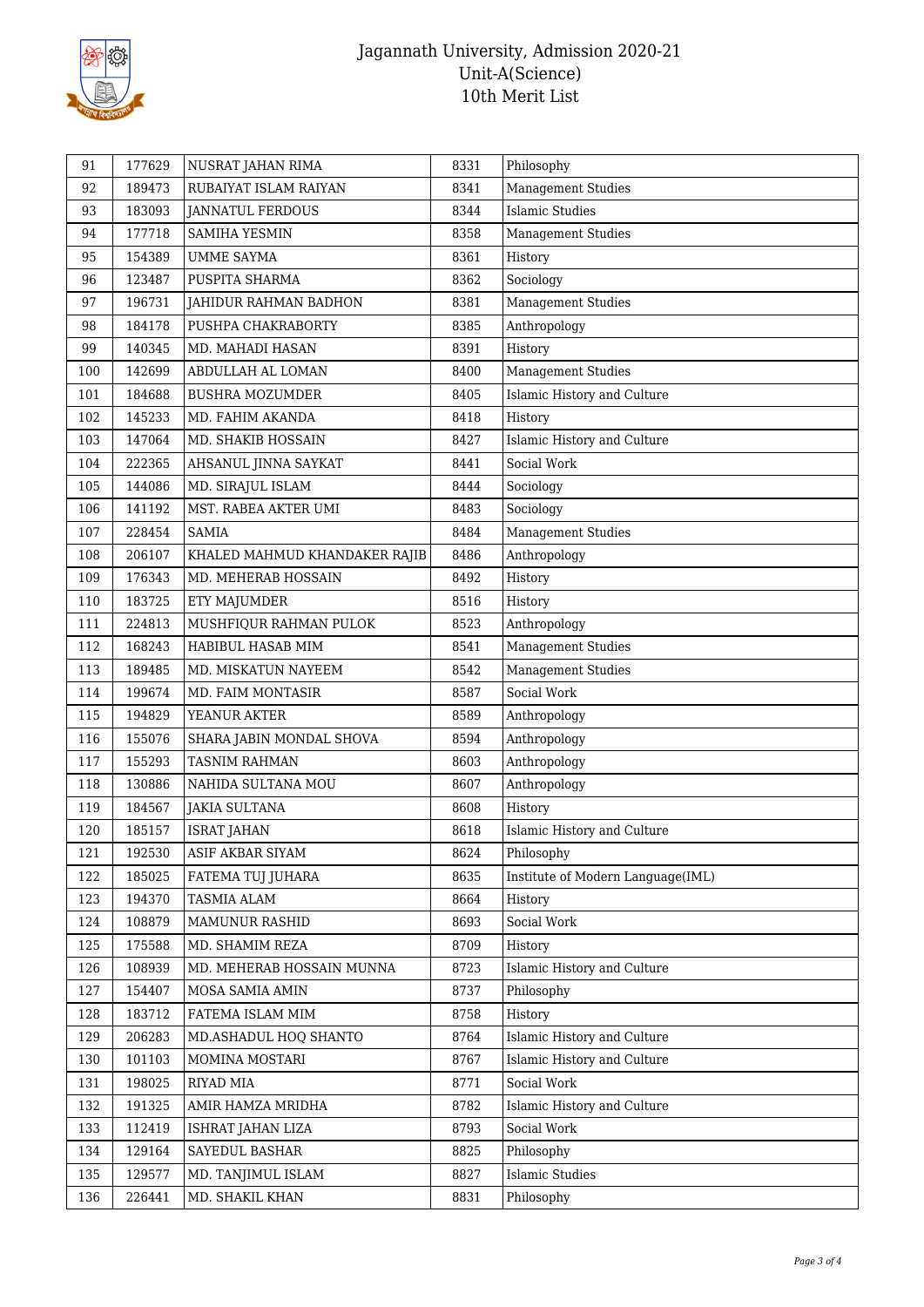

| 91  | 177629 | NUSRAT JAHAN RIMA             | 8331 | Philosophy                        |
|-----|--------|-------------------------------|------|-----------------------------------|
| 92  | 189473 | RUBAIYAT ISLAM RAIYAN         | 8341 | <b>Management Studies</b>         |
| 93  | 183093 | <b>JANNATUL FERDOUS</b>       | 8344 | <b>Islamic Studies</b>            |
| 94  | 177718 | <b>SAMIHA YESMIN</b>          | 8358 | <b>Management Studies</b>         |
| 95  | 154389 | <b>UMME SAYMA</b>             | 8361 | History                           |
| 96  | 123487 | PUSPITA SHARMA                | 8362 | Sociology                         |
| 97  | 196731 | JAHIDUR RAHMAN BADHON         | 8381 | <b>Management Studies</b>         |
| 98  | 184178 | PUSHPA CHAKRABORTY            | 8385 | Anthropology                      |
| 99  | 140345 | MD. MAHADI HASAN              | 8391 | History                           |
| 100 | 142699 | ABDULLAH AL LOMAN             | 8400 | <b>Management Studies</b>         |
| 101 | 184688 | <b>BUSHRA MOZUMDER</b>        | 8405 | Islamic History and Culture       |
| 102 | 145233 | MD. FAHIM AKANDA              | 8418 | History                           |
| 103 | 147064 | MD. SHAKIB HOSSAIN            | 8427 | Islamic History and Culture       |
| 104 | 222365 | AHSANUL JINNA SAYKAT          | 8441 | Social Work                       |
| 105 | 144086 | MD. SIRAJUL ISLAM             | 8444 | Sociology                         |
| 106 | 141192 | MST. RABEA AKTER UMI          | 8483 | Sociology                         |
| 107 | 228454 | <b>SAMIA</b>                  | 8484 | <b>Management Studies</b>         |
| 108 | 206107 | KHALED MAHMUD KHANDAKER RAJIB | 8486 | Anthropology                      |
| 109 | 176343 | MD. MEHERAB HOSSAIN           | 8492 | History                           |
| 110 | 183725 | ETY MAJUMDER                  | 8516 | History                           |
| 111 | 224813 | MUSHFIQUR RAHMAN PULOK        | 8523 | Anthropology                      |
| 112 | 168243 | HABIBUL HASAB MIM             | 8541 | <b>Management Studies</b>         |
| 113 | 189485 | MD. MISKATUN NAYEEM           | 8542 | <b>Management Studies</b>         |
| 114 | 199674 | MD. FAIM MONTASIR             | 8587 | Social Work                       |
| 115 | 194829 | YEANUR AKTER                  | 8589 | Anthropology                      |
| 116 | 155076 | SHARA JABIN MONDAL SHOVA      | 8594 | Anthropology                      |
| 117 | 155293 | <b>TASNIM RAHMAN</b>          | 8603 | Anthropology                      |
| 118 | 130886 | NAHIDA SULTANA MOU            | 8607 | Anthropology                      |
| 119 | 184567 | <b>JAKIA SULTANA</b>          | 8608 | History                           |
| 120 | 185157 | <b>ISRAT JAHAN</b>            | 8618 | Islamic History and Culture       |
| 121 | 192530 | <b>ASIF AKBAR SIYAM</b>       | 8624 | Philosophy                        |
| 122 | 185025 | FATEMA TUJ JUHARA             | 8635 | Institute of Modern Language(IML) |
| 123 | 194370 | <b>TASMIA ALAM</b>            | 8664 | History                           |
| 124 | 108879 | MAMUNUR RASHID                | 8693 | Social Work                       |
| 125 | 175588 | MD. SHAMIM REZA               | 8709 | History                           |
| 126 | 108939 | MD. MEHERAB HOSSAIN MUNNA     | 8723 | Islamic History and Culture       |
| 127 | 154407 | MOSA SAMIA AMIN               | 8737 | Philosophy                        |
| 128 | 183712 | FATEMA ISLAM MIM              | 8758 | History                           |
| 129 | 206283 | MD.ASHADUL HOQ SHANTO         | 8764 | Islamic History and Culture       |
| 130 | 101103 | MOMINA MOSTARI                | 8767 | Islamic History and Culture       |
| 131 | 198025 | RIYAD MIA                     | 8771 | Social Work                       |
| 132 | 191325 | AMIR HAMZA MRIDHA             | 8782 | Islamic History and Culture       |
| 133 | 112419 | ISHRAT JAHAN LIZA             | 8793 | Social Work                       |
| 134 | 129164 | SAYEDUL BASHAR                | 8825 | Philosophy                        |
| 135 | 129577 | MD. TANJIMUL ISLAM            | 8827 | <b>Islamic Studies</b>            |
| 136 | 226441 | MD. SHAKIL KHAN               | 8831 | Philosophy                        |